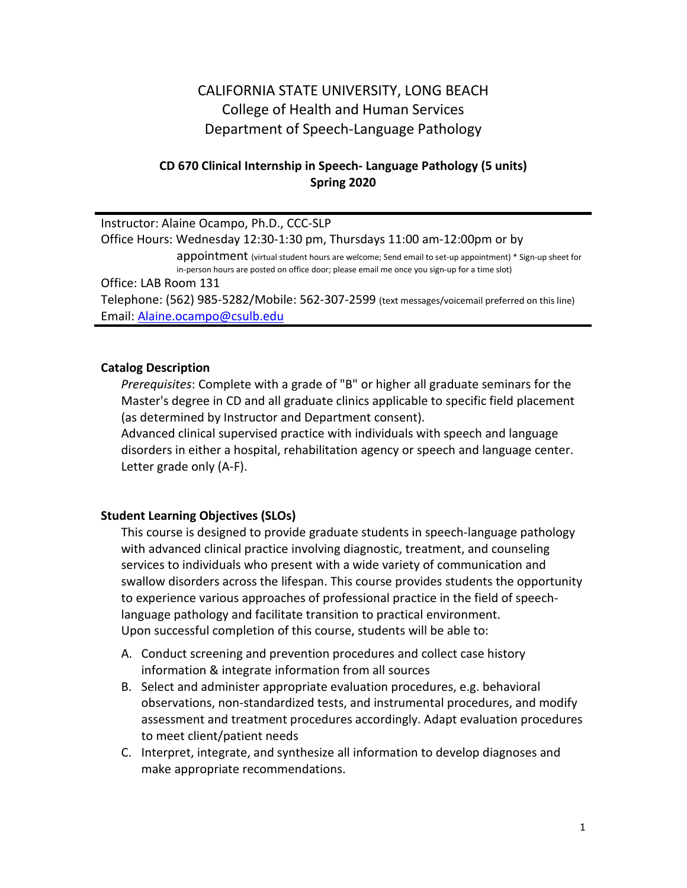# CALIFORNIA STATE UNIVERSITY, LONG BEACH College of Health and Human Services Department of Speech-Language Pathology

## **CD 670 Clinical Internship in Speech- Language Pathology (5 units) Spring 2020**

Instructor: Alaine Ocampo, Ph.D., CCC-SLP Office Hours: Wednesday 12:30-1:30 pm, Thursdays 11:00 am-12:00pm or by appointment (virtual student hours are welcome; Send email to set-up appointment) \* Sign-up sheet for in-person hours are posted on office door; please email me once you sign-up for a time slot) Office: LAB Room 131 Telephone: (562) 985-5282/Mobile: 562-307-2599 (text messages/voicemail preferred on this line) Email: [Alaine.ocampo@csulb.edu](mailto:Alaine.ocampo@csulb.edu)

#### **Catalog Description**

*Prerequisites*: Complete with a grade of "B" or higher all graduate seminars for the Master's degree in CD and all graduate clinics applicable to specific field placement (as determined by Instructor and Department consent).

Advanced clinical supervised practice with individuals with speech and language disorders in either a hospital, rehabilitation agency or speech and language center. Letter grade only (A-F).

#### **Student Learning Objectives (SLOs)**

This course is designed to provide graduate students in speech-language pathology with advanced clinical practice involving diagnostic, treatment, and counseling services to individuals who present with a wide variety of communication and swallow disorders across the lifespan. This course provides students the opportunity to experience various approaches of professional practice in the field of speechlanguage pathology and facilitate transition to practical environment. Upon successful completion of this course, students will be able to:

- A. Conduct screening and prevention procedures and collect case history information & integrate information from all sources
- B. Select and administer appropriate evaluation procedures, e.g. behavioral observations, non-standardized tests, and instrumental procedures, and modify assessment and treatment procedures accordingly. Adapt evaluation procedures to meet client/patient needs
- C. Interpret, integrate, and synthesize all information to develop diagnoses and make appropriate recommendations.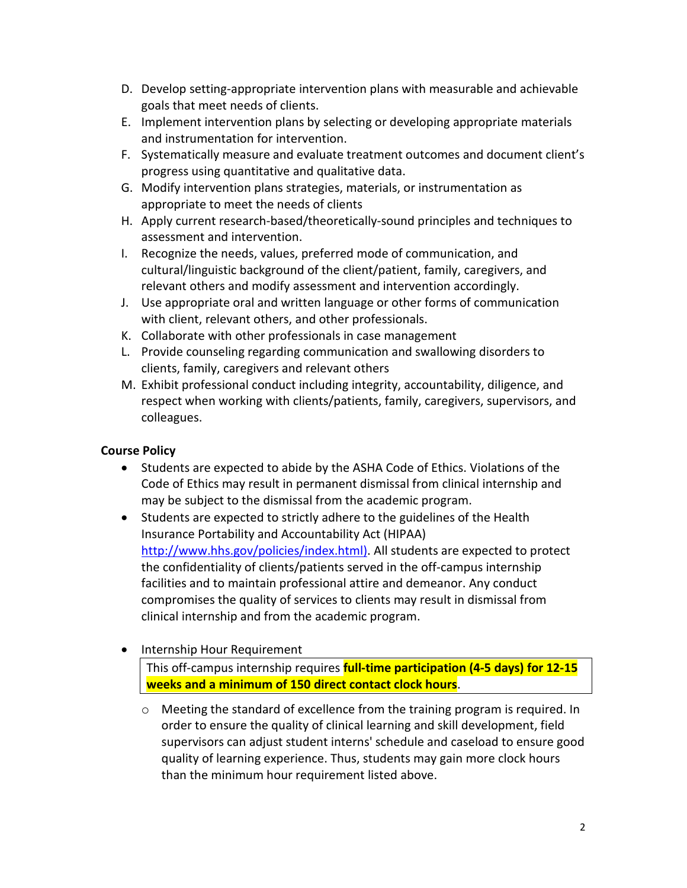- D. Develop setting-appropriate intervention plans with measurable and achievable goals that meet needs of clients.
- E. Implement intervention plans by selecting or developing appropriate materials and instrumentation for intervention.
- F. Systematically measure and evaluate treatment outcomes and document client's progress using quantitative and qualitative data.
- G. Modify intervention plans strategies, materials, or instrumentation as appropriate to meet the needs of clients
- H. Apply current research-based/theoretically-sound principles and techniques to assessment and intervention.
- I. Recognize the needs, values, preferred mode of communication, and cultural/linguistic background of the client/patient, family, caregivers, and relevant others and modify assessment and intervention accordingly.
- J. Use appropriate oral and written language or other forms of communication with client, relevant others, and other professionals.
- K. Collaborate with other professionals in case management
- L. Provide counseling regarding communication and swallowing disorders to clients, family, caregivers and relevant others
- M. Exhibit professional conduct including integrity, accountability, diligence, and respect when working with clients/patients, family, caregivers, supervisors, and colleagues.

# **Course Policy**

- Students are expected to abide by the ASHA Code of Ethics. Violations of the Code of Ethics may result in permanent dismissal from clinical internship and may be subject to the dismissal from the academic program.
- Students are expected to strictly adhere to the guidelines of the Health Insurance Portability and Accountability Act (HIPAA) [http://www.hhs.gov/policies/index.html\).](http://www.hhs.gov/policies/index.html)) All students are expected to protect the confidentiality of clients/patients served in the off-campus internship facilities and to maintain professional attire and demeanor. Any conduct compromises the quality of services to clients may result in dismissal from clinical internship and from the academic program.

# • Internship Hour Requirement

This off-campus internship requires **full-time participation (4-5 days) for 12-15 weeks and a minimum of 150 direct contact clock hours**.

o Meeting the standard of excellence from the training program is required. In order to ensure the quality of clinical learning and skill development, field supervisors can adjust student interns' schedule and caseload to ensure good quality of learning experience. Thus, students may gain more clock hours than the minimum hour requirement listed above.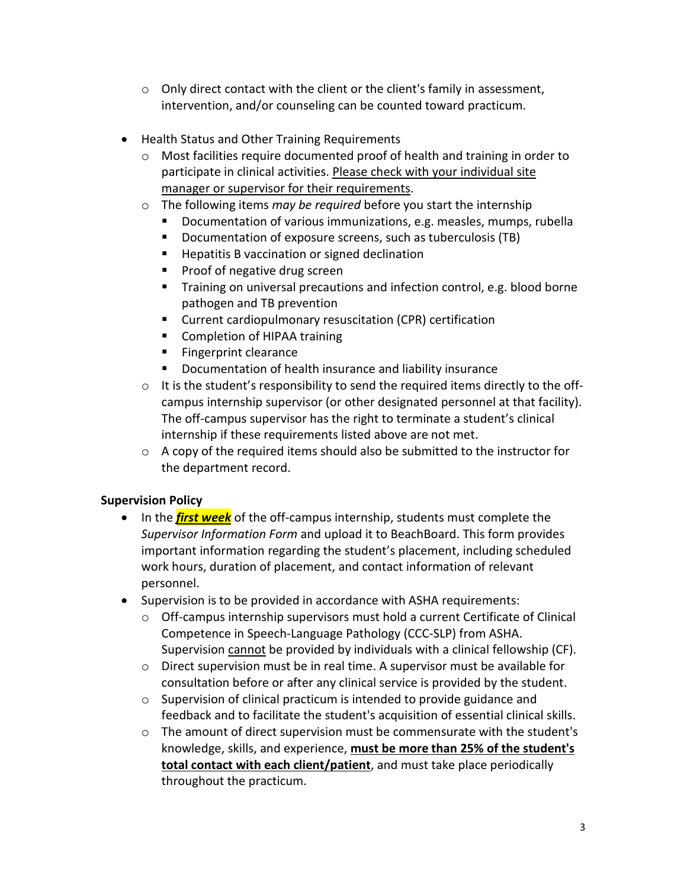- $\circ$  Only direct contact with the client or the client's family in assessment, intervention, and/or counseling can be counted toward practicum.
- Health Status and Other Training Requirements
	- $\circ$  Most facilities require documented proof of health and training in order to participate in clinical activities. Please check with your individual site manager or supervisor for their requirements.
	- o The following items *may be required* before you start the internship
		- Documentation of various immunizations, e.g. measles, mumps, rubella
		- Documentation of exposure screens, such as tuberculosis (TB)
		- **Hepatitis B vaccination or signed declination**
		- **Proof of negative drug screen**
		- **Training on universal precautions and infection control, e.g. blood borne** pathogen and TB prevention
		- Current cardiopulmonary resuscitation (CPR) certification
		- **E** Completion of HIPAA training
		- **Fingerprint clearance**
		- Documentation of health insurance and liability insurance
	- $\circ$  It is the student's responsibility to send the required items directly to the offcampus internship supervisor (or other designated personnel at that facility). The off-campus supervisor has the right to terminate a student's clinical internship if these requirements listed above are not met.
	- $\circ$  A copy of the required items should also be submitted to the instructor for the department record.

## **Supervision Policy**

- In the *first week* of the off-campus internship, students must complete the *Supervisor Information Form* and upload it to BeachBoard. This form provides important information regarding the student's placement, including scheduled work hours, duration of placement, and contact information of relevant personnel.
- Supervision is to be provided in accordance with ASHA requirements:
	- $\circ$  Off-campus internship supervisors must hold a current Certificate of Clinical Competence in Speech-Language Pathology (CCC-SLP) from ASHA. Supervision cannot be provided by individuals with a clinical fellowship (CF).
	- o Direct supervision must be in real time. A supervisor must be available for consultation before or after any clinical service is provided by the student.
	- o Supervision of clinical practicum is intended to provide guidance and feedback and to facilitate the student's acquisition of essential clinical skills.
	- $\circ$  The amount of direct supervision must be commensurate with the student's knowledge, skills, and experience, **must be more than 25% of the student's total contact with each client/patient**, and must take place periodically throughout the practicum.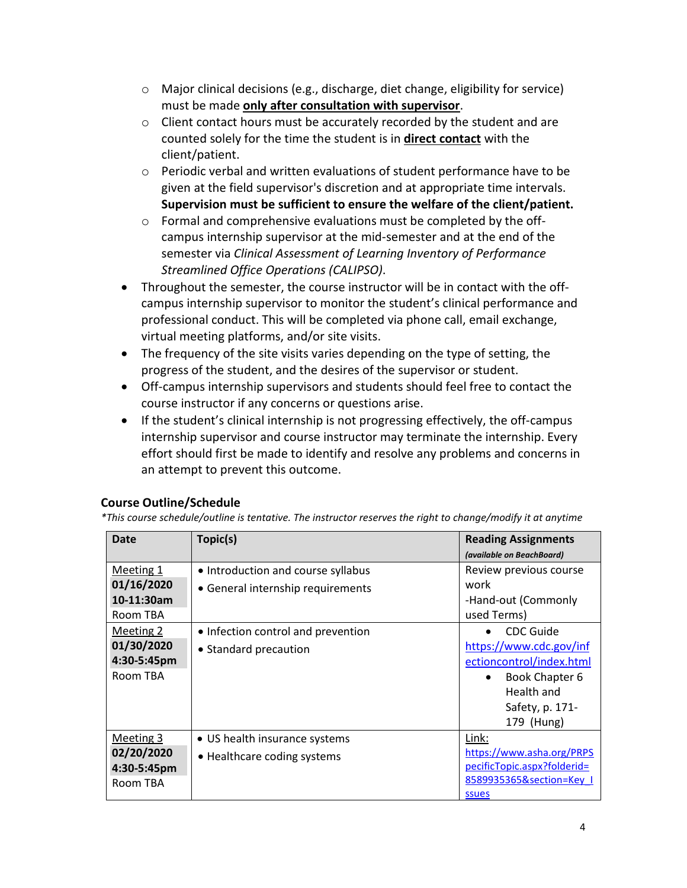- o Major clinical decisions (e.g., discharge, diet change, eligibility for service) must be made **only after consultation with supervisor**.
- o Client contact hours must be accurately recorded by the student and are counted solely for the time the student is in **direct contact** with the client/patient.
- $\circ$  Periodic verbal and written evaluations of student performance have to be given at the field supervisor's discretion and at appropriate time intervals. **Supervision must be sufficient to ensure the welfare of the client/patient.**
- o Formal and comprehensive evaluations must be completed by the offcampus internship supervisor at the mid-semester and at the end of the semester via *Clinical Assessment of Learning Inventory of Performance Streamlined Office Operations (CALIPSO)*.
- Throughout the semester, the course instructor will be in contact with the offcampus internship supervisor to monitor the student's clinical performance and professional conduct. This will be completed via phone call, email exchange, virtual meeting platforms, and/or site visits.
- The frequency of the site visits varies depending on the type of setting, the progress of the student, and the desires of the supervisor or student.
- Off-campus internship supervisors and students should feel free to contact the course instructor if any concerns or questions arise.
- If the student's clinical internship is not progressing effectively, the off-campus internship supervisor and course instructor may terminate the internship. Every effort should first be made to identify and resolve any problems and concerns in an attempt to prevent this outcome.

## **Course Outline/Schedule**

*\*This course schedule/outline is tentative. The instructor reserves the right to change/modify it at anytime*

| Date        | Topic(s)                           | <b>Reading Assignments</b>  |
|-------------|------------------------------------|-----------------------------|
|             |                                    | (available on BeachBoard)   |
| Meeting 1   | • Introduction and course syllabus | Review previous course      |
| 01/16/2020  | • General internship requirements  | work                        |
| 10-11:30am  |                                    | -Hand-out (Commonly         |
| Room TBA    |                                    | used Terms)                 |
| Meeting 2   | • Infection control and prevention | CDC Guide                   |
| 01/30/2020  | • Standard precaution              | https://www.cdc.gov/inf     |
| 4:30-5:45pm |                                    | ectioncontrol/index.html    |
| Room TBA    |                                    | Book Chapter 6<br>$\bullet$ |
|             |                                    | Health and                  |
|             |                                    | Safety, p. 171-             |
|             |                                    | 179 (Hung)                  |
| Meeting 3   | • US health insurance systems      | Link:                       |
| 02/20/2020  | • Healthcare coding systems        | https://www.asha.org/PRPS   |
| 4:30-5:45pm |                                    | pecificTopic.aspx?folderid= |
| Room TBA    |                                    | 8589935365&section=Key 1    |
|             |                                    | ssues                       |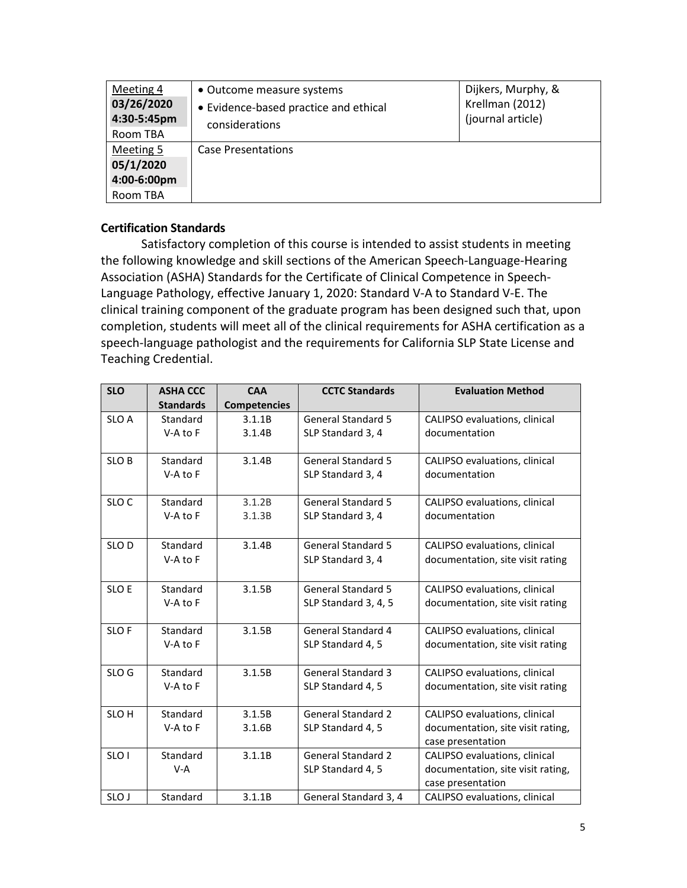| Meeting 4<br>03/26/2020<br>4:30-5:45pm<br>Room TBA | • Outcome measure systems<br>• Evidence-based practice and ethical<br>considerations | Dijkers, Murphy, &<br>Krellman (2012)<br>(journal article) |
|----------------------------------------------------|--------------------------------------------------------------------------------------|------------------------------------------------------------|
| Meeting 5<br>05/1/2020<br>4:00-6:00pm<br>Room TBA  | <b>Case Presentations</b>                                                            |                                                            |

## **Certification Standards**

Satisfactory completion of this course is intended to assist students in meeting the following knowledge and skill sections of the American Speech-Language-Hearing Association (ASHA) Standards for the Certificate of Clinical Competence in Speech-Language Pathology, effective January 1, 2020: Standard V-A to Standard V-E. The clinical training component of the graduate program has been designed such that, upon completion, students will meet all of the clinical requirements for ASHA certification as a speech-language pathologist and the requirements for California SLP State License and Teaching Credential.

| <b>SLO</b>       | <b>ASHA CCC</b><br><b>Standards</b> | <b>CAA</b><br><b>Competencies</b> | <b>CCTC Standards</b>                          | <b>Evaluation Method</b>                               |
|------------------|-------------------------------------|-----------------------------------|------------------------------------------------|--------------------------------------------------------|
| SLO A            | Standard                            | 3.1.1B                            | <b>General Standard 5</b>                      | CALIPSO evaluations, clinical                          |
|                  | V-A to F                            | 3.1.4B                            | SLP Standard 3, 4                              | documentation                                          |
| SLO <sub>B</sub> | Standard<br>V-A to F                | 3.1.4B                            | <b>General Standard 5</b><br>SLP Standard 3, 4 | CALIPSO evaluations, clinical<br>documentation         |
|                  |                                     |                                   |                                                |                                                        |
| SLO <sub>C</sub> | Standard                            | 3.1.2B                            | <b>General Standard 5</b>                      | CALIPSO evaluations, clinical                          |
|                  | V-A to F                            | 3.1.3B                            | SLP Standard 3, 4                              | documentation                                          |
| SLO <sub>D</sub> | Standard                            | 3.1.4B                            | <b>General Standard 5</b>                      | CALIPSO evaluations, clinical                          |
|                  | V-A to F                            |                                   | SLP Standard 3, 4                              | documentation, site visit rating                       |
| SLO E            | Standard                            | 3.1.5B                            | <b>General Standard 5</b>                      | CALIPSO evaluations, clinical                          |
|                  | V-A to F                            |                                   | SLP Standard 3, 4, 5                           | documentation, site visit rating                       |
|                  |                                     |                                   |                                                |                                                        |
| SLO <sub>F</sub> | Standard                            | 3.1.5B                            | General Standard 4                             | CALIPSO evaluations, clinical                          |
|                  | V-A to F                            |                                   | SLP Standard 4, 5                              | documentation, site visit rating                       |
| SLO G            | Standard                            | 3.1.5B                            | <b>General Standard 3</b>                      | CALIPSO evaluations, clinical                          |
|                  | V-A to F                            |                                   | SLP Standard 4, 5                              | documentation, site visit rating                       |
| SLO <sub>H</sub> | Standard                            | 3.1.5B                            | <b>General Standard 2</b>                      | CALIPSO evaluations, clinical                          |
|                  | V-A to F                            | 3.1.6B                            | SLP Standard 4, 5                              | documentation, site visit rating,                      |
|                  |                                     |                                   |                                                | case presentation                                      |
| SLO <sub>1</sub> | Standard                            | 3.1.1B                            | <b>General Standard 2</b>                      | CALIPSO evaluations, clinical                          |
|                  | $V-A$                               |                                   | SLP Standard 4, 5                              | documentation, site visit rating,<br>case presentation |
| SLO J            | Standard                            | 3.1.1B                            | General Standard 3, 4                          | CALIPSO evaluations, clinical                          |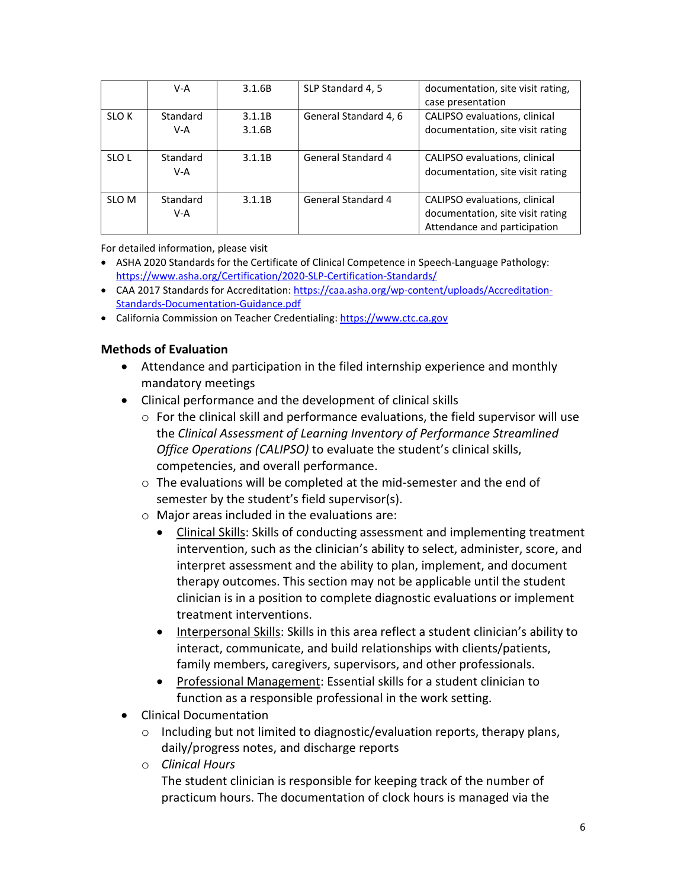|                  | V-A      | 3.1.6B | SLP Standard 4, 5         | documentation, site visit rating, |
|------------------|----------|--------|---------------------------|-----------------------------------|
|                  |          |        |                           | case presentation                 |
| SLO <sub>K</sub> | Standard | 3.1.1B | General Standard 4, 6     | CALIPSO evaluations, clinical     |
|                  | V-A      | 3.1.6B |                           | documentation, site visit rating  |
|                  |          |        |                           |                                   |
| SLO <sub>L</sub> | Standard | 3.1.1B | General Standard 4        | CALIPSO evaluations, clinical     |
|                  | V-A      |        |                           | documentation, site visit rating  |
|                  |          |        |                           |                                   |
| SLO <sub>M</sub> | Standard | 3.1.1B | <b>General Standard 4</b> | CALIPSO evaluations, clinical     |
|                  | V-A      |        |                           | documentation, site visit rating  |
|                  |          |        |                           | Attendance and participation      |

For detailed information, please visit

- ASHA 2020 Standards for the Certificate of Clinical Competence in Speech-Language Pathology: <https://www.asha.org/Certification/2020-SLP-Certification-Standards/>
- CAA 2017 Standards for Accreditation: [https://caa.asha.org/wp-content/uploads/Accreditation-](https://caa.asha.org/wp-content/uploads/Accreditation-Standards-Documentation-Guidance.pdf)[Standards-Documentation-Guidance.pdf](https://caa.asha.org/wp-content/uploads/Accreditation-Standards-Documentation-Guidance.pdf)
- California Commission on Teacher Credentialing: [https://www.ctc.ca.gov](https://www.ctc.ca.gov/)

## **Methods of Evaluation**

- Attendance and participation in the filed internship experience and monthly mandatory meetings
- Clinical performance and the development of clinical skills
	- $\circ$  For the clinical skill and performance evaluations, the field supervisor will use the *Clinical Assessment of Learning Inventory of Performance Streamlined Office Operations (CALIPSO)* to evaluate the student's clinical skills, competencies, and overall performance.
	- o The evaluations will be completed at the mid-semester and the end of semester by the student's field supervisor(s).
	- o Major areas included in the evaluations are:
		- Clinical Skills: Skills of conducting assessment and implementing treatment intervention, such as the clinician's ability to select, administer, score, and interpret assessment and the ability to plan, implement, and document therapy outcomes. This section may not be applicable until the student clinician is in a position to complete diagnostic evaluations or implement treatment interventions.
		- Interpersonal Skills: Skills in this area reflect a student clinician's ability to interact, communicate, and build relationships with clients/patients, family members, caregivers, supervisors, and other professionals.
		- Professional Management: Essential skills for a student clinician to function as a responsible professional in the work setting.
- Clinical Documentation
	- o Including but not limited to diagnostic/evaluation reports, therapy plans, daily/progress notes, and discharge reports
	- o *Clinical Hours*

The student clinician is responsible for keeping track of the number of practicum hours. The documentation of clock hours is managed via the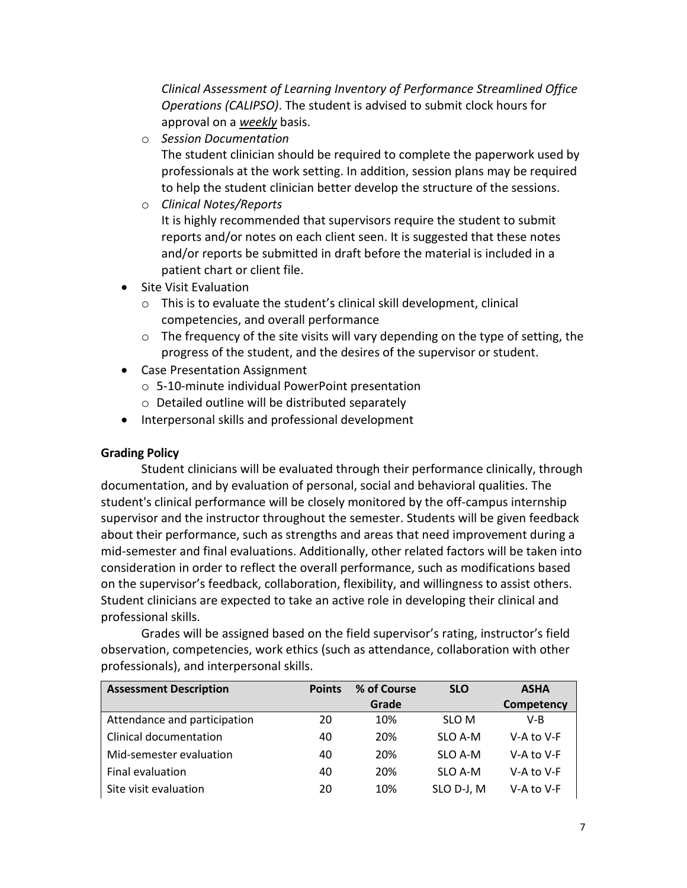*Clinical Assessment of Learning Inventory of Performance Streamlined Office Operations (CALIPSO)*. The student is advised to submit clock hours for approval on a *weekly* basis.

o *Session Documentation*

The student clinician should be required to complete the paperwork used by professionals at the work setting. In addition, session plans may be required to help the student clinician better develop the structure of the sessions.

o *Clinical Notes/Reports*

It is highly recommended that supervisors require the student to submit reports and/or notes on each client seen. It is suggested that these notes and/or reports be submitted in draft before the material is included in a patient chart or client file.

- Site Visit Evaluation
	- o This is to evaluate the student's clinical skill development, clinical competencies, and overall performance
	- $\circ$  The frequency of the site visits will vary depending on the type of setting, the progress of the student, and the desires of the supervisor or student.
- Case Presentation Assignment
	- o 5-10-minute individual PowerPoint presentation
	- o Detailed outline will be distributed separately
- Interpersonal skills and professional development

## **Grading Policy**

Student clinicians will be evaluated through their performance clinically, through documentation, and by evaluation of personal, social and behavioral qualities. The student's clinical performance will be closely monitored by the off-campus internship supervisor and the instructor throughout the semester. Students will be given feedback about their performance, such as strengths and areas that need improvement during a mid-semester and final evaluations. Additionally, other related factors will be taken into consideration in order to reflect the overall performance, such as modifications based on the supervisor's feedback, collaboration, flexibility, and willingness to assist others. Student clinicians are expected to take an active role in developing their clinical and professional skills.

Grades will be assigned based on the field supervisor's rating, instructor's field observation, competencies, work ethics (such as attendance, collaboration with other professionals), and interpersonal skills.

| <b>Assessment Description</b> | <b>Points</b> | % of Course | <b>SLO</b> | <b>ASHA</b> |
|-------------------------------|---------------|-------------|------------|-------------|
|                               |               | Grade       |            | Competency  |
| Attendance and participation  | 20            | 10%         | SLO M      | V-B         |
| Clinical documentation        | 40            | 20%         | SLO A-M    | V-A to V-F  |
| Mid-semester evaluation       | 40            | 20%         | SLO A-M    | V-A to V-F  |
| Final evaluation              | 40            | 20%         | SLO A-M    | V-A to V-F  |
| Site visit evaluation         | 20            | 10%         | SLO D-J, M | V-A to V-F  |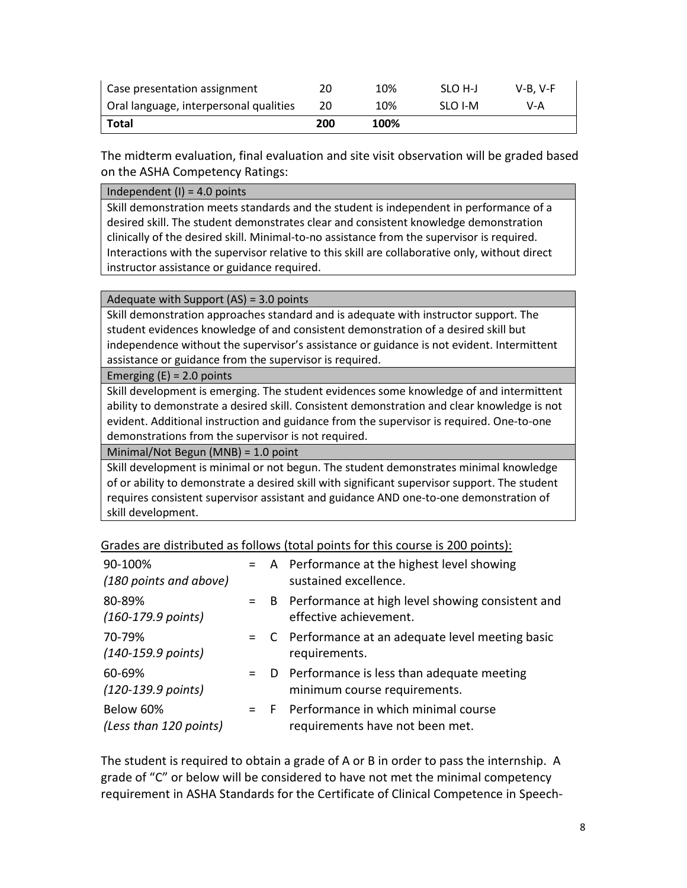| Case presentation assignment           | 20  | 10%  | SLO H-J | $V-B. V-F$ |
|----------------------------------------|-----|------|---------|------------|
| Oral language, interpersonal qualities | 20  | 10%  | SLO I-M | V-A        |
| Total                                  | 200 | 100% |         |            |

The midterm evaluation, final evaluation and site visit observation will be graded based on the ASHA Competency Ratings:

Independent  $(I) = 4.0$  points

Skill demonstration meets standards and the student is independent in performance of a desired skill. The student demonstrates clear and consistent knowledge demonstration clinically of the desired skill. Minimal-to-no assistance from the supervisor is required. Interactions with the supervisor relative to this skill are collaborative only, without direct instructor assistance or guidance required.

#### Adequate with Support (AS) = 3.0 points

Skill demonstration approaches standard and is adequate with instructor support. The student evidences knowledge of and consistent demonstration of a desired skill but independence without the supervisor's assistance or guidance is not evident. Intermittent assistance or guidance from the supervisor is required.

#### Emerging  $(E) = 2.0$  points

Skill development is emerging. The student evidences some knowledge of and intermittent ability to demonstrate a desired skill. Consistent demonstration and clear knowledge is not evident. Additional instruction and guidance from the supervisor is required. One-to-one demonstrations from the supervisor is not required.

Minimal/Not Begun (MNB) = 1.0 point

Skill development is minimal or not begun. The student demonstrates minimal knowledge of or ability to demonstrate a desired skill with significant supervisor support. The student requires consistent supervisor assistant and guidance AND one-to-one demonstration of skill development.

| Grades are distributed as follows (total points for this course is 200 points): |  |  |  |  |
|---------------------------------------------------------------------------------|--|--|--|--|
|---------------------------------------------------------------------------------|--|--|--|--|

| 90-100%<br>(180 points and above)      |  | = A Performance at the highest level showing<br>sustained excellence.           |
|----------------------------------------|--|---------------------------------------------------------------------------------|
| 80-89%<br>$(160-179.9 \text{ points})$ |  | = B Performance at high level showing consistent and<br>effective achievement.  |
| 70-79%<br>$(140-159.9 \text{ points})$ |  | $= C$ Performance at an adequate level meeting basic<br>requirements.           |
| 60-69%<br>$(120-139.9 \text{ points})$ |  | $=$ D Performance is less than adequate meeting<br>minimum course requirements. |
| Below 60%<br>(Less than 120 points)    |  | = F Performance in which minimal course<br>requirements have not been met.      |

The student is required to obtain a grade of A or B in order to pass the internship. A grade of "C" or below will be considered to have not met the minimal competency requirement in ASHA Standards for the Certificate of Clinical Competence in Speech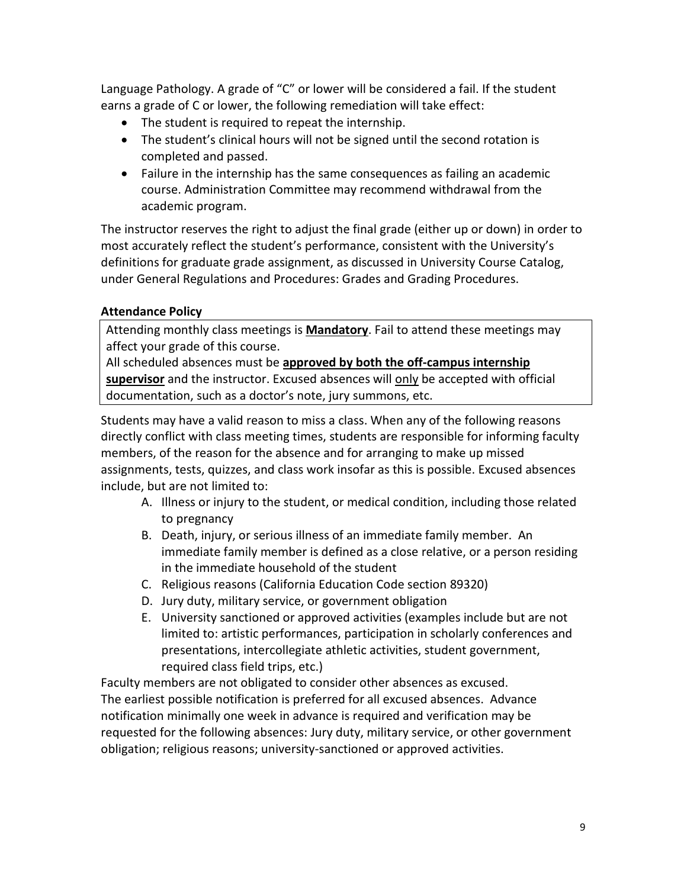Language Pathology. A grade of "C" or lower will be considered a fail. If the student earns a grade of C or lower, the following remediation will take effect:

- The student is required to repeat the internship.
- The student's clinical hours will not be signed until the second rotation is completed and passed.
- Failure in the internship has the same consequences as failing an academic course. Administration Committee may recommend withdrawal from the academic program.

The instructor reserves the right to adjust the final grade (either up or down) in order to most accurately reflect the student's performance, consistent with the University's definitions for graduate grade assignment, as discussed in University Course Catalog, under General Regulations and Procedures: Grades and Grading Procedures.

# **Attendance Policy**

Attending monthly class meetings is **Mandatory**. Fail to attend these meetings may affect your grade of this course.

All scheduled absences must be **approved by both the off-campus internship supervisor** and the instructor. Excused absences will only be accepted with official documentation, such as a doctor's note, jury summons, etc.

Students may have a valid reason to miss a class. When any of the following reasons directly conflict with class meeting times, students are responsible for informing faculty members, of the reason for the absence and for arranging to make up missed assignments, tests, quizzes, and class work insofar as this is possible. Excused absences include, but are not limited to:

- A. Illness or injury to the student, or medical condition, including those related to pregnancy
- B. Death, injury, or serious illness of an immediate family member. An immediate family member is defined as a close relative, or a person residing in the immediate household of the student
- C. Religious reasons (California Education Code section 89320)
- D. Jury duty, military service, or government obligation
- E. University sanctioned or approved activities (examples include but are not limited to: artistic performances, participation in scholarly conferences and presentations, intercollegiate athletic activities, student government, required class field trips, etc.)

Faculty members are not obligated to consider other absences as excused. The earliest possible notification is preferred for all excused absences. Advance notification minimally one week in advance is required and verification may be requested for the following absences: Jury duty, military service, or other government obligation; religious reasons; university-sanctioned or approved activities.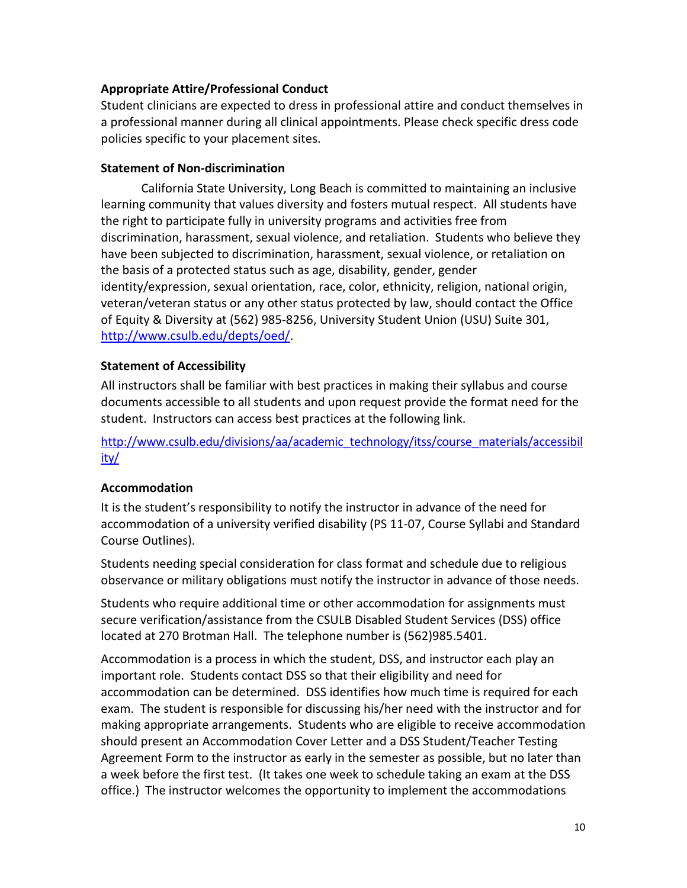#### **Appropriate Attire/Professional Conduct**

Student clinicians are expected to dress in professional attire and conduct themselves in a professional manner during all clinical appointments. Please check specific dress code policies specific to your placement sites.

#### **Statement of Non-discrimination**

California State University, Long Beach is committed to maintaining an inclusive learning community that values diversity and fosters mutual respect. All students have the right to participate fully in university programs and activities free from discrimination, harassment, sexual violence, and retaliation. Students who believe they have been subjected to discrimination, harassment, sexual violence, or retaliation on the basis of a protected status such as age, disability, gender, gender identity/expression, sexual orientation, race, color, ethnicity, religion, national origin, veteran/veteran status or any other status protected by law, should contact the Office of Equity & Diversity at (562) 985-8256, University Student Union (USU) Suite 301, [http://www.csulb.edu/depts/oed/.](http://www.csulb.edu/depts/oed/)

#### **Statement of Accessibility**

All instructors shall be familiar with best practices in making their syllabus and course documents accessible to all students and upon request provide the format need for the student. Instructors can access best practices at the following link.

[http://www.csulb.edu/divisions/aa/academic\\_technology/itss/course\\_materials/accessibil](http://www.csulb.edu/divisions/aa/academic_technology/itss/course_materials/accessibility/) [ity/](http://www.csulb.edu/divisions/aa/academic_technology/itss/course_materials/accessibility/)

## **Accommodation**

It is the student's responsibility to notify the instructor in advance of the need for accommodation of a university verified disability (PS 11-07, Course Syllabi and Standard Course Outlines).

Students needing special consideration for class format and schedule due to religious observance or military obligations must notify the instructor in advance of those needs.

Students who require additional time or other accommodation for assignments must secure verification/assistance from the CSULB Disabled Student Services (DSS) office located at 270 Brotman Hall. The telephone number is (562)985.5401.

Accommodation is a process in which the student, DSS, and instructor each play an important role. Students contact DSS so that their eligibility and need for accommodation can be determined. DSS identifies how much time is required for each exam. The student is responsible for discussing his/her need with the instructor and for making appropriate arrangements. Students who are eligible to receive accommodation should present an Accommodation Cover Letter and a DSS Student/Teacher Testing Agreement Form to the instructor as early in the semester as possible, but no later than a week before the first test. (It takes one week to schedule taking an exam at the DSS office.) The instructor welcomes the opportunity to implement the accommodations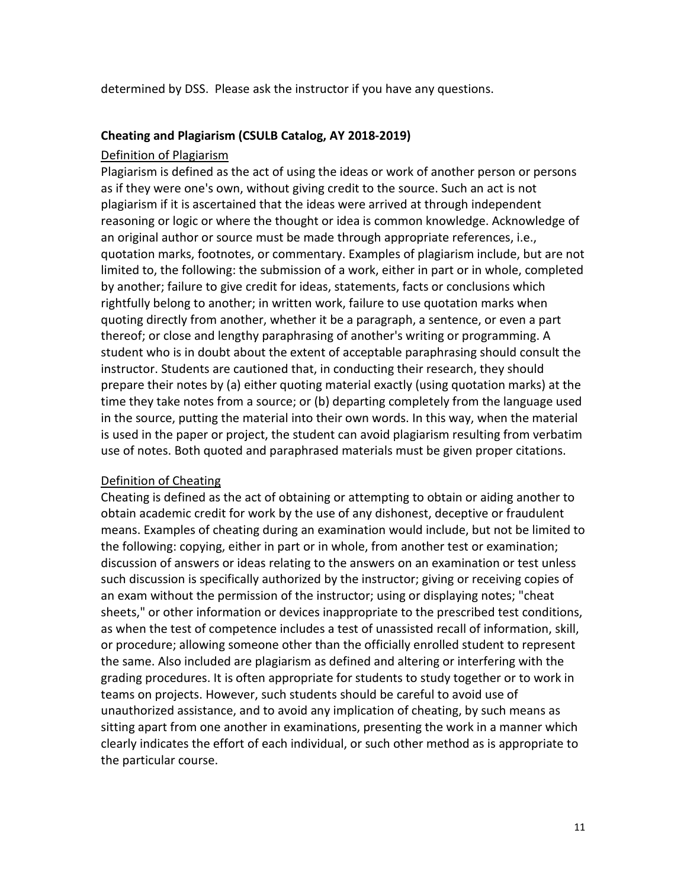determined by DSS. Please ask the instructor if you have any questions.

#### **Cheating and Plagiarism (CSULB Catalog, AY 2018-2019)**

#### Definition of Plagiarism

Plagiarism is defined as the act of using the ideas or work of another person or persons as if they were one's own, without giving credit to the source. Such an act is not plagiarism if it is ascertained that the ideas were arrived at through independent reasoning or logic or where the thought or idea is common knowledge. Acknowledge of an original author or source must be made through appropriate references, i.e., quotation marks, footnotes, or commentary. Examples of plagiarism include, but are not limited to, the following: the submission of a work, either in part or in whole, completed by another; failure to give credit for ideas, statements, facts or conclusions which rightfully belong to another; in written work, failure to use quotation marks when quoting directly from another, whether it be a paragraph, a sentence, or even a part thereof; or close and lengthy paraphrasing of another's writing or programming. A student who is in doubt about the extent of acceptable paraphrasing should consult the instructor. Students are cautioned that, in conducting their research, they should prepare their notes by (a) either quoting material exactly (using quotation marks) at the time they take notes from a source; or (b) departing completely from the language used in the source, putting the material into their own words. In this way, when the material is used in the paper or project, the student can avoid plagiarism resulting from verbatim use of notes. Both quoted and paraphrased materials must be given proper citations.

## Definition of Cheating

Cheating is defined as the act of obtaining or attempting to obtain or aiding another to obtain academic credit for work by the use of any dishonest, deceptive or fraudulent means. Examples of cheating during an examination would include, but not be limited to the following: copying, either in part or in whole, from another test or examination; discussion of answers or ideas relating to the answers on an examination or test unless such discussion is specifically authorized by the instructor; giving or receiving copies of an exam without the permission of the instructor; using or displaying notes; "cheat sheets," or other information or devices inappropriate to the prescribed test conditions, as when the test of competence includes a test of unassisted recall of information, skill, or procedure; allowing someone other than the officially enrolled student to represent the same. Also included are plagiarism as defined and altering or interfering with the grading procedures. It is often appropriate for students to study together or to work in teams on projects. However, such students should be careful to avoid use of unauthorized assistance, and to avoid any implication of cheating, by such means as sitting apart from one another in examinations, presenting the work in a manner which clearly indicates the effort of each individual, or such other method as is appropriate to the particular course.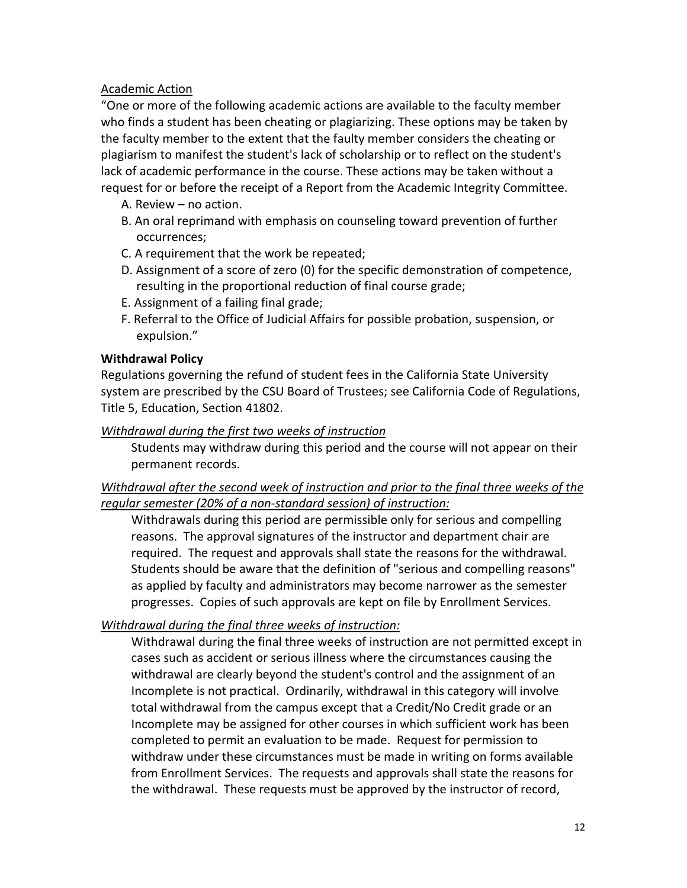## Academic Action

"One or more of the following academic actions are available to the faculty member who finds a student has been cheating or plagiarizing. These options may be taken by the faculty member to the extent that the faulty member considers the cheating or plagiarism to manifest the student's lack of scholarship or to reflect on the student's lack of academic performance in the course. These actions may be taken without a request for or before the receipt of a Report from the Academic Integrity Committee.

- A. Review no action.
- B. An oral reprimand with emphasis on counseling toward prevention of further occurrences;
- C. A requirement that the work be repeated;
- D. Assignment of a score of zero (0) for the specific demonstration of competence, resulting in the proportional reduction of final course grade;
- E. Assignment of a failing final grade;
- F. Referral to the Office of Judicial Affairs for possible probation, suspension, or expulsion."

## **Withdrawal Policy**

Regulations governing the refund of student fees in the California State University system are prescribed by the CSU Board of Trustees; see California Code of Regulations, Title 5, Education, Section 41802.

## *Withdrawal during the first two weeks of instruction*

Students may withdraw during this period and the course will not appear on their permanent records.

## *Withdrawal after the second week of instruction and prior to the final three weeks of the regular semester (20% of a non-standard session) of instruction:*

Withdrawals during this period are permissible only for serious and compelling reasons. The approval signatures of the instructor and department chair are required. The request and approvals shall state the reasons for the withdrawal. Students should be aware that the definition of "serious and compelling reasons" as applied by faculty and administrators may become narrower as the semester progresses. Copies of such approvals are kept on file by Enrollment Services.

## *Withdrawal during the final three weeks of instruction:*

Withdrawal during the final three weeks of instruction are not permitted except in cases such as accident or serious illness where the circumstances causing the withdrawal are clearly beyond the student's control and the assignment of an Incomplete is not practical. Ordinarily, withdrawal in this category will involve total withdrawal from the campus except that a Credit/No Credit grade or an Incomplete may be assigned for other courses in which sufficient work has been completed to permit an evaluation to be made. Request for permission to withdraw under these circumstances must be made in writing on forms available from Enrollment Services. The requests and approvals shall state the reasons for the withdrawal. These requests must be approved by the instructor of record,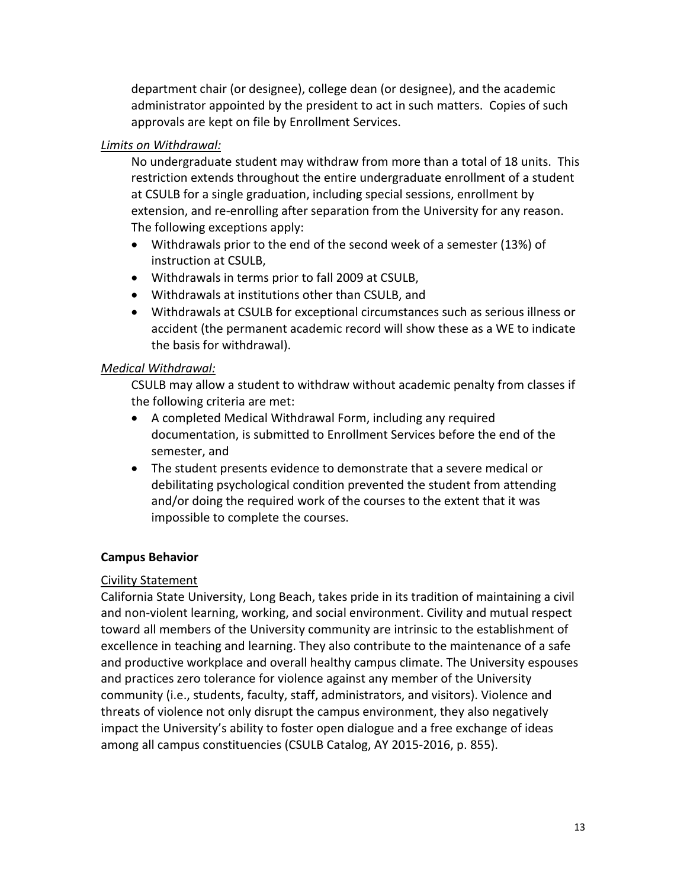department chair (or designee), college dean (or designee), and the academic administrator appointed by the president to act in such matters. Copies of such approvals are kept on file by Enrollment Services.

## *Limits on Withdrawal:*

No undergraduate student may withdraw from more than a total of 18 units. This restriction extends throughout the entire undergraduate enrollment of a student at CSULB for a single graduation, including special sessions, enrollment by extension, and re-enrolling after separation from the University for any reason. The following exceptions apply:

- Withdrawals prior to the end of the second week of a semester (13%) of instruction at CSULB,
- Withdrawals in terms prior to fall 2009 at CSULB,
- Withdrawals at institutions other than CSULB, and
- Withdrawals at CSULB for exceptional circumstances such as serious illness or accident (the permanent academic record will show these as a WE to indicate the basis for withdrawal).

## *Medical Withdrawal:*

CSULB may allow a student to withdraw without academic penalty from classes if the following criteria are met:

- A completed Medical Withdrawal Form, including any required documentation, is submitted to Enrollment Services before the end of the semester, and
- The student presents evidence to demonstrate that a severe medical or debilitating psychological condition prevented the student from attending and/or doing the required work of the courses to the extent that it was impossible to complete the courses.

## **Campus Behavior**

## Civility Statement

California State University, Long Beach, takes pride in its tradition of maintaining a civil and non-violent learning, working, and social environment. Civility and mutual respect toward all members of the University community are intrinsic to the establishment of excellence in teaching and learning. They also contribute to the maintenance of a safe and productive workplace and overall healthy campus climate. The University espouses and practices zero tolerance for violence against any member of the University community (i.e., students, faculty, staff, administrators, and visitors). Violence and threats of violence not only disrupt the campus environment, they also negatively impact the University's ability to foster open dialogue and a free exchange of ideas among all campus constituencies (CSULB Catalog, AY 2015-2016, p. 855).